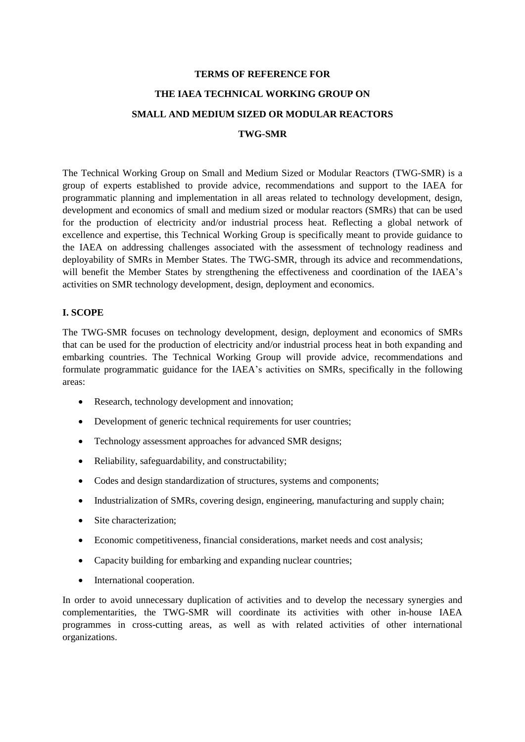#### **TERMS OF REFERENCE FOR**

# **THE IAEA TECHNICAL WORKING GROUP ON**

## **SMALL AND MEDIUM SIZED OR MODULAR REACTORS**

#### **TWG-SMR**

The Technical Working Group on Small and Medium Sized or Modular Reactors (TWG-SMR) is a group of experts established to provide advice, recommendations and support to the IAEA for programmatic planning and implementation in all areas related to technology development, design, development and economics of small and medium sized or modular reactors (SMRs) that can be used for the production of electricity and/or industrial process heat. Reflecting a global network of excellence and expertise, this Technical Working Group is specifically meant to provide guidance to the IAEA on addressing challenges associated with the assessment of technology readiness and deployability of SMRs in Member States. The TWG-SMR, through its advice and recommendations, will benefit the Member States by strengthening the effectiveness and coordination of the IAEA's activities on SMR technology development, design, deployment and economics.

#### **I. SCOPE**

The TWG-SMR focuses on technology development, design, deployment and economics of SMRs that can be used for the production of electricity and/or industrial process heat in both expanding and embarking countries. The Technical Working Group will provide advice, recommendations and formulate programmatic guidance for the IAEA's activities on SMRs, specifically in the following areas:

- Research, technology development and innovation;
- Development of generic technical requirements for user countries;
- Technology assessment approaches for advanced SMR designs;
- Reliability, safeguardability, and constructability;
- Codes and design standardization of structures, systems and components;
- Industrialization of SMRs, covering design, engineering, manufacturing and supply chain;
- Site characterization:
- Economic competitiveness, financial considerations, market needs and cost analysis;
- Capacity building for embarking and expanding nuclear countries;
- International cooperation.

In order to avoid unnecessary duplication of activities and to develop the necessary synergies and complementarities, the TWG-SMR will coordinate its activities with other in-house IAEA programmes in cross-cutting areas, as well as with related activities of other international organizations.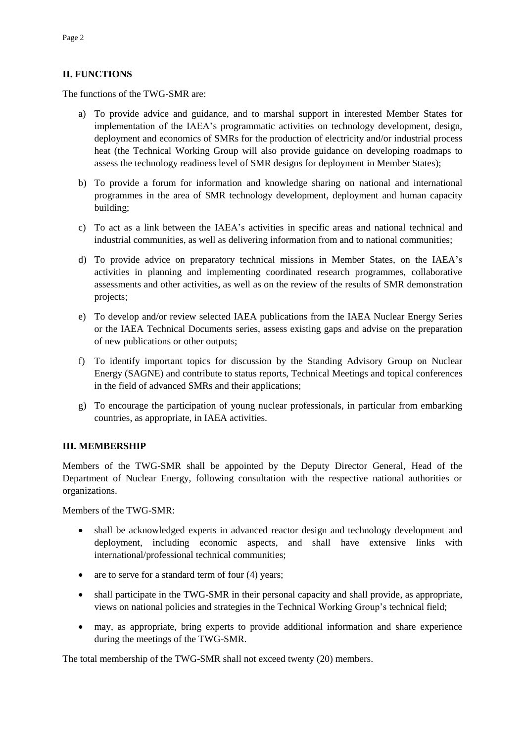### **II. FUNCTIONS**

The functions of the TWG-SMR are:

- a) To provide advice and guidance, and to marshal support in interested Member States for implementation of the IAEA's programmatic activities on technology development, design, deployment and economics of SMRs for the production of electricity and/or industrial process heat (the Technical Working Group will also provide guidance on developing roadmaps to assess the technology readiness level of SMR designs for deployment in Member States);
- b) To provide a forum for information and knowledge sharing on national and international programmes in the area of SMR technology development, deployment and human capacity building;
- c) To act as a link between the IAEA's activities in specific areas and national technical and industrial communities, as well as delivering information from and to national communities;
- d) To provide advice on preparatory technical missions in Member States, on the IAEA's activities in planning and implementing coordinated research programmes, collaborative assessments and other activities, as well as on the review of the results of SMR demonstration projects;
- e) To develop and/or review selected IAEA publications from the IAEA Nuclear Energy Series or the IAEA Technical Documents series, assess existing gaps and advise on the preparation of new publications or other outputs;
- f) To identify important topics for discussion by the Standing Advisory Group on Nuclear Energy (SAGNE) and contribute to status reports, Technical Meetings and topical conferences in the field of advanced SMRs and their applications;
- g) To encourage the participation of young nuclear professionals, in particular from embarking countries, as appropriate, in IAEA activities.

### **III. MEMBERSHIP**

Members of the TWG-SMR shall be appointed by the Deputy Director General, Head of the Department of Nuclear Energy, following consultation with the respective national authorities or organizations.

Members of the TWG-SMR:

- shall be acknowledged experts in advanced reactor design and technology development and deployment, including economic aspects, and shall have extensive links with international/professional technical communities;
- are to serve for a standard term of four (4) years;
- shall participate in the TWG-SMR in their personal capacity and shall provide, as appropriate, views on national policies and strategies in the Technical Working Group's technical field;
- may, as appropriate, bring experts to provide additional information and share experience during the meetings of the TWG-SMR.

The total membership of the TWG-SMR shall not exceed twenty (20) members.